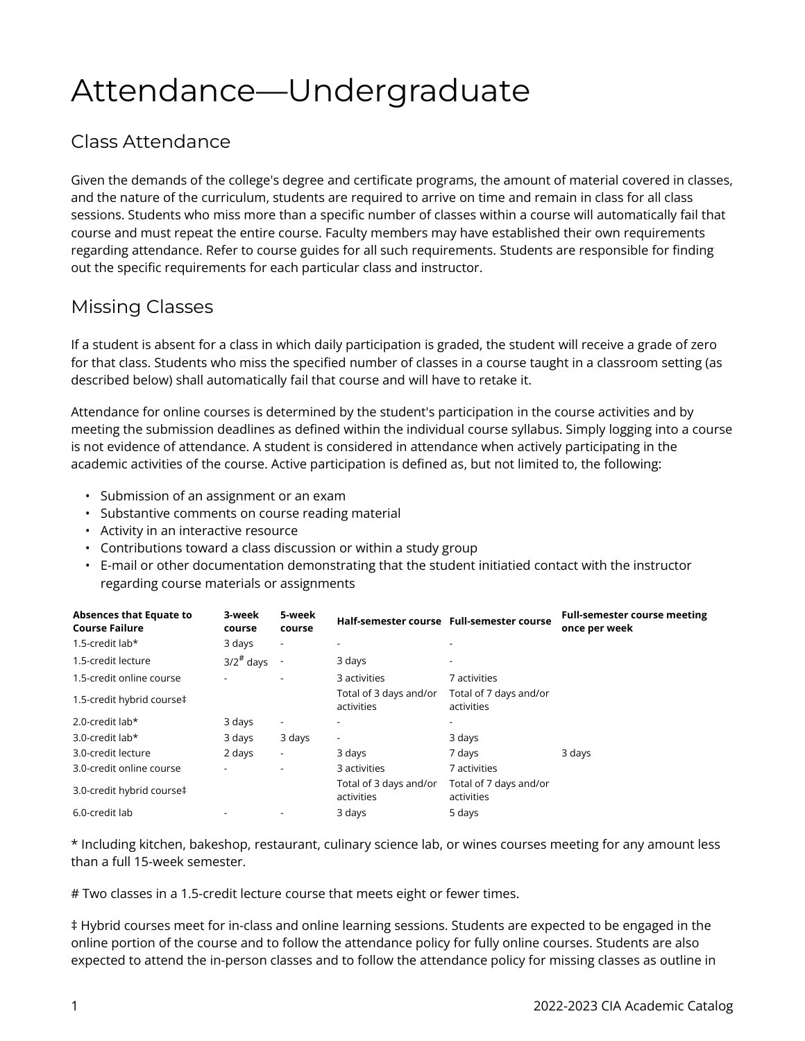# Attendance—Undergraduate

### Class Attendance

Given the demands of the college's degree and certificate programs, the amount of material covered in classes, and the nature of the curriculum, students are required to arrive on time and remain in class for all class sessions. Students who miss more than a specific number of classes within a course will automatically fail that course and must repeat the entire course. Faculty members may have established their own requirements regarding attendance. Refer to course guides for all such requirements. Students are responsible for finding out the specific requirements for each particular class and instructor.

### Missing Classes

If a student is absent for a class in which daily participation is graded, the student will receive a grade of zero for that class. Students who miss the specified number of classes in a course taught in a classroom setting (as described below) shall automatically fail that course and will have to retake it.

Attendance for online courses is determined by the student's participation in the course activities and by meeting the submission deadlines as defined within the individual course syllabus. Simply logging into a course is not evidence of attendance. A student is considered in attendance when actively participating in the academic activities of the course. Active participation is defined as, but not limited to, the following:

- Submission of an assignment or an exam
- Substantive comments on course reading material
- Activity in an interactive resource
- Contributions toward a class discussion or within a study group
- E-mail or other documentation demonstrating that the student initiatied contact with the instructor regarding course materials or assignments

| <b>Absences that Equate to</b><br><b>Course Failure</b> | 3-week<br>course | 5-week<br>course         | Half-semester course Full-semester course |                                      | <b>Full-semester course meeting</b><br>once per week |
|---------------------------------------------------------|------------------|--------------------------|-------------------------------------------|--------------------------------------|------------------------------------------------------|
| 1.5-credit lab*                                         | 3 days           | $\overline{\phantom{a}}$ |                                           |                                      |                                                      |
| 1.5-credit lecture                                      | $3/2^{\#}$ days  |                          | 3 days                                    | $\overline{\phantom{a}}$             |                                                      |
| 1.5-credit online course                                |                  |                          | 3 activities                              | 7 activities                         |                                                      |
| 1.5-credit hybrid course‡                               |                  |                          | Total of 3 days and/or<br>activities      | Total of 7 days and/or<br>activities |                                                      |
| 2.0-credit lab*                                         | 3 days           | $\overline{\phantom{a}}$ |                                           | $\overline{\phantom{a}}$             |                                                      |
| 3.0-credit lab*                                         | 3 days           | 3 days                   | $\overline{\phantom{a}}$                  | 3 days                               |                                                      |
| 3.0-credit lecture                                      | 2 days           | $\overline{\phantom{a}}$ | 3 days                                    | 7 days                               | 3 days                                               |
| 3.0-credit online course                                |                  |                          | 3 activities                              | 7 activities                         |                                                      |
| 3.0-credit hybrid course‡                               |                  |                          | Total of 3 days and/or<br>activities      | Total of 7 days and/or<br>activities |                                                      |
| 6.0-credit lab                                          |                  |                          | 3 days                                    | 5 days                               |                                                      |

\* Including kitchen, bakeshop, restaurant, culinary science lab, or wines courses meeting for any amount less than a full 15-week semester.

# Two classes in a 1.5-credit lecture course that meets eight or fewer times.

‡ Hybrid courses meet for in-class and online learning sessions. Students are expected to be engaged in the online portion of the course and to follow the attendance policy for fully online courses. Students are also expected to attend the in-person classes and to follow the attendance policy for missing classes as outline in